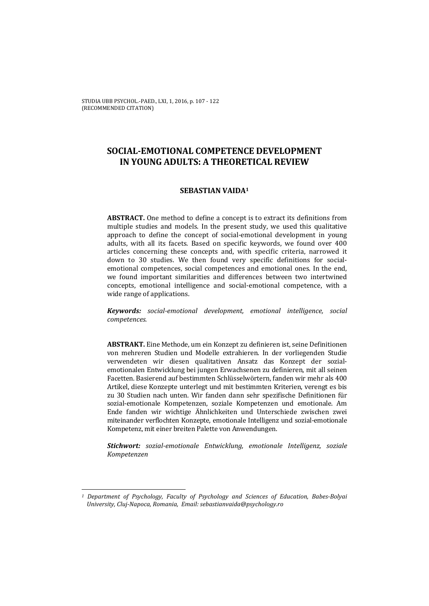STUDIA UBB PSYCHOL.-PAED., LXI, 1, 2016, p. 107 - 122 (RECOMMENDED CITATION)

# **SOCIAL-EMOTIONAL COMPETENCE DEVELOPMENT IN YOUNG ADULTS: A THEORETICAL REVIEW**

## **SEBASTIAN VAIDA1**

**ABSTRACT.** One method to define a concept is to extract its definitions from multiple studies and models. In the present study, we used this qualitative approach to define the concept of social-emotional development in young adults, with all its facets. Based on specific keywords, we found over 400 articles concerning these concepts and, with specific criteria, narrowed it down to 30 studies. We then found very specific definitions for socialemotional competences, social competences and emotional ones. In the end, we found important similarities and differences between two intertwined concepts, emotional intelligence and social-emotional competence, with a wide range of applications.

*Keywords: social-emotional development, emotional intelligence, social competences.* 

**ABSTRAKT.** Eine Methode, um ein Konzept zu definieren ist, seine Definitionen von mehreren Studien und Modelle extrahieren. In der vorliegenden Studie verwendeten wir diesen qualitativen Ansatz das Konzept der sozialemotionalen Entwicklung bei jungen Erwachsenen zu definieren, mit all seinen Facetten. Basierend auf bestimmten Schlüsselwörtern, fanden wir mehr als 400 Artikel, diese Konzepte unterlegt und mit bestimmten Kriterien, verengt es bis zu 30 Studien nach unten. Wir fanden dann sehr spezifische Definitionen für sozial-emotionale Kompetenzen, soziale Kompetenzen und emotionale. Am Ende fanden wir wichtige Ähnlichkeiten und Unterschiede zwischen zwei miteinander verflochten Konzepte, emotionale Intelligenz und sozial-emotionale Kompetenz, mit einer breiten Palette von Anwendungen.

*Stichwort: sozial-emotionale Entwicklung, emotionale Intelligenz, soziale Kompetenzen* 

 $\overline{a}$ 

*<sup>1</sup> Department of Psychology, Faculty of Psychology and Sciences of Education, Babes-Bolyai University, Cluj-Napoca, Romania, Email: sebastianvaida@psychology.ro*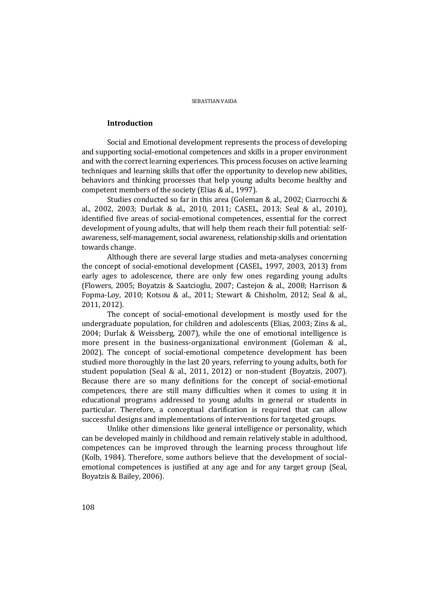## **Introduction**

Social and Emotional development represents the process of developing and supporting social-emotional competences and skills in a proper environment and with the correct learning experiences. This process focuses on active learning techniques and learning skills that offer the opportunity to develop new abilities, behaviors and thinking processes that help young adults become healthy and competent members of the society (Elias & al., 1997).

Studies conducted so far in this area (Goleman & al., 2002; Ciarrocchi & al., 2002, 2003; Durlak & al., 2010, 2011; CASEL, 2013; Seal & al., 2010), identified five areas of social-emotional competences, essential for the correct development of young adults, that will help them reach their full potential: selfawareness, self-management, social awareness, relationship skills and orientation towards change.

Although there are several large studies and meta-analyses concerning the concept of social-emotional development (CASEL, 1997, 2003, 2013) from early ages to adolescence, there are only few ones regarding young adults (Flowers, 2005; Boyatzis & Saatcioglu, 2007; Castejon & al., 2008; Harrison & Fopma-Loy, 2010; Kotsou & al., 2011; Stewart & Chisholm, 2012; Seal & al., 2011, 2012).

The concept of social-emotional development is mostly used for the undergraduate population, for children and adolescents (Elias, 2003; Zins & al., 2004; Durlak & Weissberg, 2007), while the one of emotional intelligence is more present in the business-organizational environment (Goleman & al., 2002). The concept of social-emotional competence development has been studied more thoroughly in the last 20 years, referring to young adults, both for student population (Seal & al., 2011, 2012) or non-student (Boyatzis, 2007). Because there are so many definitions for the concept of social-emotional competences, there are still many difficulties when it comes to using it in educational programs addressed to young adults in general or students in particular. Therefore, a conceptual clarification is required that can allow successful designs and implementations of interventions for targeted groups.

Unlike other dimensions like general intelligence or personality, which can be developed mainly in childhood and remain relatively stable in adulthood, competences can be improved through the learning process throughout life (Kolb, 1984). Therefore, some authors believe that the development of socialemotional competences is justified at any age and for any target group (Seal, Boyatzis & Bailey, 2006).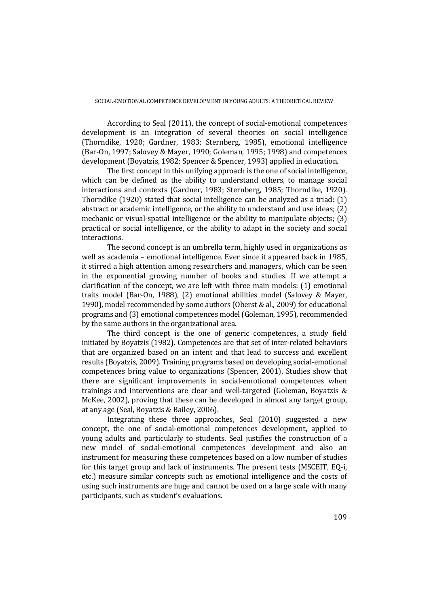According to Seal (2011), the concept of social-emotional competences development is an integration of several theories on social intelligence (Thorndike, 1920; Gardner, 1983; Sternberg, 1985), emotional intelligence (Bar-On, 1997; Salovey & Mayer, 1990; Goleman, 1995; 1998) and competences development (Boyatzis, 1982; Spencer & Spencer, 1993) applied in education.

The first concept in this unifying approach is the one of social intelligence, which can be defined as the ability to understand others, to manage social interactions and contexts (Gardner, 1983; Sternberg, 1985; Thorndike, 1920). Thorndike (1920) stated that social intelligence can be analyzed as a triad: (1) abstract or academic intelligence, or the ability to understand and use ideas; (2) mechanic or visual-spatial intelligence or the ability to manipulate objects; (3) practical or social intelligence, or the ability to adapt in the society and social interactions.

The second concept is an umbrella term, highly used in organizations as well as academia – emotional intelligence. Ever since it appeared back in 1985, it stirred a high attention among researchers and managers, which can be seen in the exponential growing number of books and studies. If we attempt a clarification of the concept, we are left with three main models: (1) emotional traits model (Bar-On, 1988), (2) emotional abilities model (Salovey & Mayer, 1990), model recommended by some authors (Oberst & al., 2009) for educational programs and (3) emotional competences model (Goleman, 1995), recommended by the same authors in the organizational area.

The third concept is the one of generic competences, a study field initiated by Boyatzis (1982). Competences are that set of inter-related behaviors that are organized based on an intent and that lead to success and excellent results (Boyatzis, 2009). Training programs based on developing social-emotional competences bring value to organizations (Spencer, 2001). Studies show that there are significant improvements in social-emotional competences when trainings and interventions are clear and well-targeted (Goleman, Boyatzis & McKee, 2002), proving that these can be developed in almost any target group, at any age (Seal, Boyatzis & Bailey, 2006).

Integrating these three approaches, Seal (2010) suggested a new concept, the one of social-emotional competences development, applied to young adults and particularly to students. Seal justifies the construction of a new model of social-emotional competences development and also an instrument for measuring these competences based on a low number of studies for this target group and lack of instruments. The present tests (MSCEIT, EQ-i, etc.) measure similar concepts such as emotional intelligence and the costs of using such instruments are huge and cannot be used on a large scale with many participants, such as student's evaluations.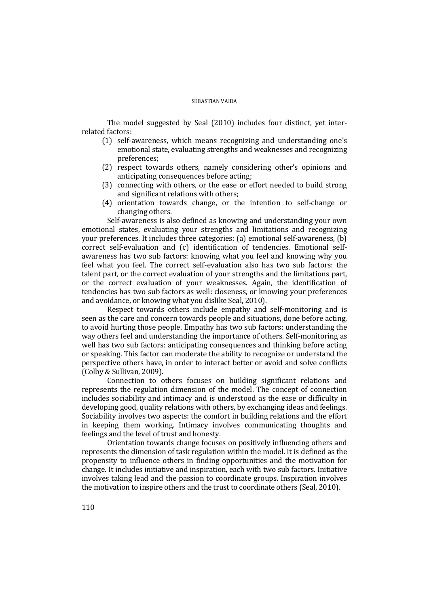The model suggested by Seal (2010) includes four distinct, yet interrelated factors:

- (1) self-awareness, which means recognizing and understanding one's emotional state, evaluating strengths and weaknesses and recognizing preferences;
- (2) respect towards others, namely considering other's opinions and anticipating consequences before acting;
- (3) connecting with others, or the ease or effort needed to build strong and significant relations with others;
- (4) orientation towards change, or the intention to self-change or changing others.

Self-awareness is also defined as knowing and understanding your own emotional states, evaluating your strengths and limitations and recognizing your preferences. It includes three categories: (a) emotional self-awareness, (b) correct self-evaluation and (c) identification of tendencies. Emotional selfawareness has two sub factors: knowing what you feel and knowing why you feel what you feel. The correct self-evaluation also has two sub factors: the talent part, or the correct evaluation of your strengths and the limitations part, or the correct evaluation of your weaknesses. Again, the identification of tendencies has two sub factors as well: closeness, or knowing your preferences and avoidance, or knowing what you dislike Seal, 2010).

Respect towards others include empathy and self-monitoring and is seen as the care and concern towards people and situations, done before acting, to avoid hurting those people. Empathy has two sub factors: understanding the way others feel and understanding the importance of others. Self-monitoring as well has two sub factors: anticipating consequences and thinking before acting or speaking. This factor can moderate the ability to recognize or understand the perspective others have, in order to interact better or avoid and solve conflicts (Colby & Sullivan, 2009).

Connection to others focuses on building significant relations and represents the regulation dimension of the model. The concept of connection includes sociability and intimacy and is understood as the ease or difficulty in developing good, quality relations with others, by exchanging ideas and feelings. Sociability involves two aspects: the comfort in building relations and the effort in keeping them working. Intimacy involves communicating thoughts and feelings and the level of trust and honesty.

Orientation towards change focuses on positively influencing others and represents the dimension of task regulation within the model. It is defined as the propensity to influence others in finding opportunities and the motivation for change. It includes initiative and inspiration, each with two sub factors. Initiative involves taking lead and the passion to coordinate groups. Inspiration involves the motivation to inspire others and the trust to coordinate others (Seal, 2010).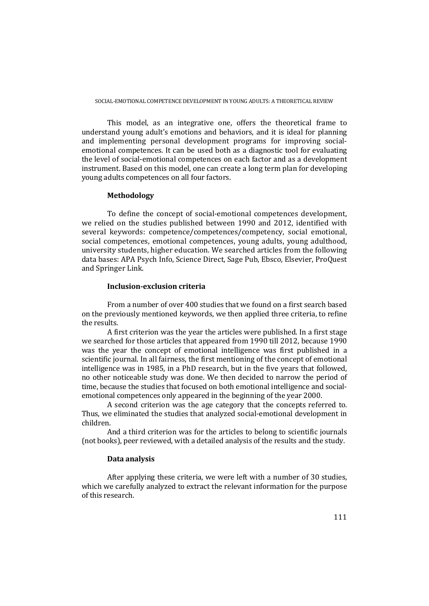This model, as an integrative one, offers the theoretical frame to understand young adult's emotions and behaviors, and it is ideal for planning and implementing personal development programs for improving socialemotional competences. It can be used both as a diagnostic tool for evaluating the level of social-emotional competences on each factor and as a development instrument. Based on this model, one can create a long term plan for developing young adults competences on all four factors.

### **Methodology**

To define the concept of social-emotional competences development, we relied on the studies published between 1990 and 2012, identified with several keywords: competence/competences/competency, social emotional, social competences, emotional competences, young adults, young adulthood, university students, higher education. We searched articles from the following data bases: APA Psych Info, Science Direct, Sage Pub, Ebsco, Elsevier, ProQuest and Springer Link.

## **Inclusion-exclusion criteria**

From a number of over 400 studies that we found on a first search based on the previously mentioned keywords, we then applied three criteria, to refine the results.

A first criterion was the year the articles were published. In a first stage we searched for those articles that appeared from 1990 till 2012, because 1990 was the year the concept of emotional intelligence was first published in a scientific journal. In all fairness, the first mentioning of the concept of emotional intelligence was in 1985, in a PhD research, but in the five years that followed, no other noticeable study was done. We then decided to narrow the period of time, because the studies that focused on both emotional intelligence and socialemotional competences only appeared in the beginning of the year 2000.

A second criterion was the age category that the concepts referred to. Thus, we eliminated the studies that analyzed social-emotional development in children.

And a third criterion was for the articles to belong to scientific journals (not books), peer reviewed, with a detailed analysis of the results and the study.

### **Data analysis**

After applying these criteria, we were left with a number of 30 studies, which we carefully analyzed to extract the relevant information for the purpose of this research.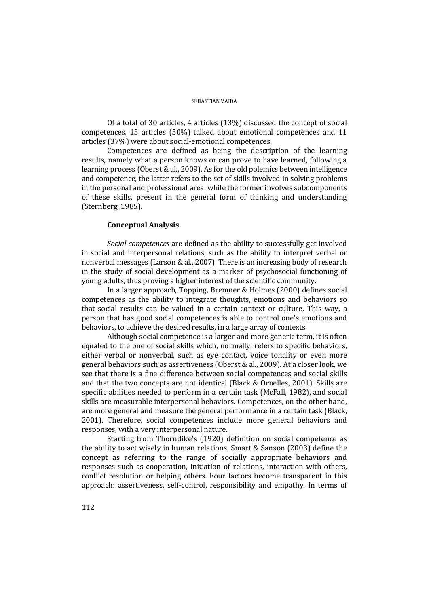Of a total of 30 articles, 4 articles (13%) discussed the concept of social competences, 15 articles (50%) talked about emotional competences and 11 articles (37%) were about social-emotional competences.

Competences are defined as being the description of the learning results, namely what a person knows or can prove to have learned, following a learning process (Oberst & al., 2009). As for the old polemics between intelligence and competence, the latter refers to the set of skills involved in solving problems in the personal and professional area, while the former involves subcomponents of these skills, present in the general form of thinking and understanding (Sternberg, 1985).

## **Conceptual Analysis**

*Social competences* are defined as the ability to successfully get involved in social and interpersonal relations, such as the ability to interpret verbal or nonverbal messages (Larson & al., 2007). There is an increasing body of research in the study of social development as a marker of psychosocial functioning of young adults, thus proving a higher interest of the scientific community.

In a larger approach, Topping, Bremner & Holmes (2000) defines social competences as the ability to integrate thoughts, emotions and behaviors so that social results can be valued in a certain context or culture. This way, a person that has good social competences is able to control one's emotions and behaviors, to achieve the desired results, in a large array of contexts.

Although social competence is a larger and more generic term, it is often equaled to the one of social skills which, normally, refers to specific behaviors, either verbal or nonverbal, such as eye contact, voice tonality or even more general behaviors such as assertiveness (Oberst & al., 2009). At a closer look, we see that there is a fine difference between social competences and social skills and that the two concepts are not identical (Black & Ornelles, 2001). Skills are specific abilities needed to perform in a certain task (McFall, 1982), and social skills are measurable interpersonal behaviors. Competences, on the other hand, are more general and measure the general performance in a certain task (Black, 2001). Therefore, social competences include more general behaviors and responses, with a very interpersonal nature.

Starting from Thorndike's (1920) definition on social competence as the ability to act wisely in human relations, Smart & Sanson (2003) define the concept as referring to the range of socially appropriate behaviors and responses such as cooperation, initiation of relations, interaction with others, conflict resolution or helping others. Four factors become transparent in this approach: assertiveness, self-control, responsibility and empathy. In terms of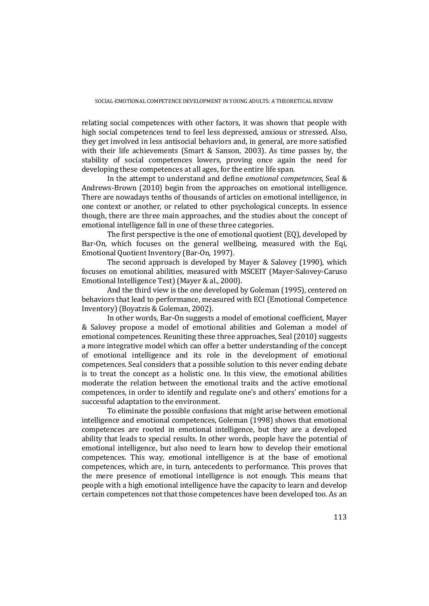relating social competences with other factors, it was shown that people with high social competences tend to feel less depressed, anxious or stressed. Also, they get involved in less antisocial behaviors and, in general, are more satisfied with their life achievements (Smart & Sanson, 2003). As time passes by, the stability of social competences lowers, proving once again the need for developing these competences at all ages, for the entire life span.

In the attempt to understand and define *emotional competences*, Seal & Andrews-Brown (2010) begin from the approaches on emotional intelligence. There are nowadays tenths of thousands of articles on emotional intelligence, in one context or another, or related to other psychological concepts. In essence though, there are three main approaches, and the studies about the concept of emotional intelligence fall in one of these three categories.

The first perspective is the one of emotional quotient (EQ), developed by Bar-On, which focuses on the general wellbeing, measured with the Eqi, Emotional Quotient Inventory (Bar-On, 1997).

The second approach is developed by Mayer & Salovey (1990), which focuses on emotional abilities, measured with MSCEIT (Mayer-Salovey-Caruso Emotional Intelligence Test) (Mayer & al., 2000).

And the third view is the one developed by Goleman (1995), centered on behaviors that lead to performance, measured with ECI (Emotional Competence Inventory) (Boyatzis & Goleman, 2002).

In other words, Bar-On suggests a model of emotional coefficient, Mayer & Salovey propose a model of emotional abilities and Goleman a model of emotional competences. Reuniting these three approaches, Seal (2010) suggests a more integrative model which can offer a better understanding of the concept of emotional intelligence and its role in the development of emotional competences. Seal considers that a possible solution to this never ending debate is to treat the concept as a holistic one. In this view, the emotional abilities moderate the relation between the emotional traits and the active emotional competences, in order to identify and regulate one's and others' emotions for a successful adaptation to the environment.

To eliminate the possible confusions that might arise between emotional intelligence and emotional competences, Goleman (1998) shows that emotional competences are rooted in emotional intelligence, but they are a developed ability that leads to special results. In other words, people have the potential of emotional intelligence, but also need to learn how to develop their emotional competences. This way, emotional intelligence is at the base of emotional competences, which are, in turn, antecedents to performance. This proves that the mere presence of emotional intelligence is not enough. This means that people with a high emotional intelligence have the capacity to learn and develop certain competences not that those competences have been developed too. As an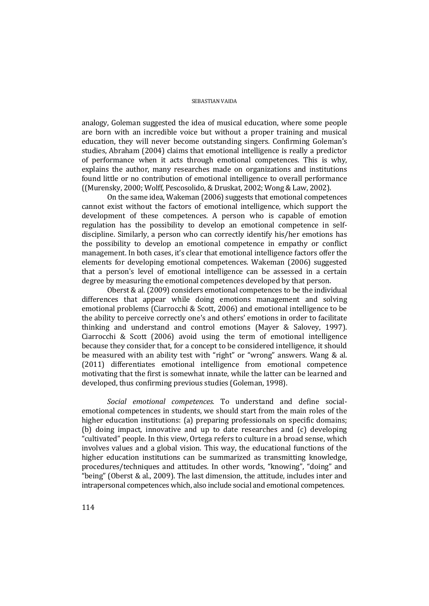analogy, Goleman suggested the idea of musical education, where some people are born with an incredible voice but without a proper training and musical education, they will never become outstanding singers. Confirming Goleman's studies, Abraham (2004) claims that emotional intelligence is really a predictor of performance when it acts through emotional competences. This is why, explains the author, many researches made on organizations and institutions found little or no contribution of emotional intelligence to overall performance ((Murensky, 2000; Wolff, Pescosolido, & Druskat, 2002; Wong & Law, 2002).

On the same idea, Wakeman (2006) suggests that emotional competences cannot exist without the factors of emotional intelligence, which support the development of these competences. A person who is capable of emotion regulation has the possibility to develop an emotional competence in selfdiscipline. Similarly, a person who can correctly identify his/her emotions has the possibility to develop an emotional competence in empathy or conflict management. In both cases, it's clear that emotional intelligence factors offer the elements for developing emotional competences. Wakeman (2006) suggested that a person's level of emotional intelligence can be assessed in a certain degree by measuring the emotional competences developed by that person.

Oberst & al. (2009) considers emotional competences to be the individual differences that appear while doing emotions management and solving emotional problems (Ciarrocchi & Scott, 2006) and emotional intelligence to be the ability to perceive correctly one's and others' emotions in order to facilitate thinking and understand and control emotions (Mayer & Salovey, 1997). Ciarrocchi & Scott (2006) avoid using the term of emotional intelligence because they consider that, for a concept to be considered intelligence, it should be measured with an ability test with "right" or "wrong" answers. Wang & al. (2011) differentiates emotional intelligence from emotional competence motivating that the first is somewhat innate, while the latter can be learned and developed, thus confirming previous studies (Goleman, 1998).

*Social emotional competences.* To understand and define socialemotional competences in students, we should start from the main roles of the higher education institutions: (a) preparing professionals on specific domains; (b) doing impact, innovative and up to date researches and (c) developing "cultivated" people. In this view, Ortega refers to culture in a broad sense, which involves values and a global vision. This way, the educational functions of the higher education institutions can be summarized as transmitting knowledge, procedures/techniques and attitudes. In other words, "knowing", "doing" and "being" (Oberst & al., 2009). The last dimension, the attitude, includes inter and intrapersonal competences which, also include social and emotional competences.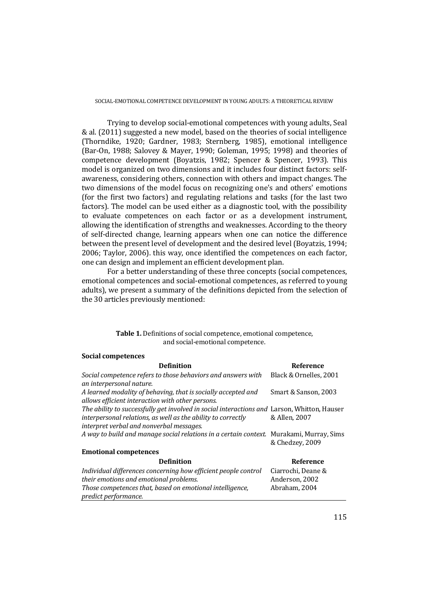Trying to develop social-emotional competences with young adults, Seal & al. (2011) suggested a new model, based on the theories of social intelligence (Thorndike, 1920; Gardner, 1983; Sternberg, 1985), emotional intelligence (Bar-On, 1988; Salovey & Mayer, 1990; Goleman, 1995; 1998) and theories of competence development (Boyatzis, 1982; Spencer & Spencer, 1993). This model is organized on two dimensions and it includes four distinct factors: selfawareness, considering others, connection with others and impact changes. The two dimensions of the model focus on recognizing one's and others' emotions (for the first two factors) and regulating relations and tasks (for the last two factors). The model can be used either as a diagnostic tool, with the possibility to evaluate competences on each factor or as a development instrument, allowing the identification of strengths and weaknesses. According to the theory of self-directed change, learning appears when one can notice the difference between the present level of development and the desired level (Boyatzis, 1994; 2006; Taylor, 2006). this way, once identified the competences on each factor, one can design and implement an efficient development plan.

For a better understanding of these three concepts (social competences, emotional competences and social-emotional competences, as referred to young adults), we present a summary of the definitions depicted from the selection of the 30 articles previously mentioned:

### **Table 1.** Definitions of social competence, emotional competence, and social-emotional competence.

## **Social competences**

| <b>Definition</b>                                                                           | <b>Reference</b>       |
|---------------------------------------------------------------------------------------------|------------------------|
| Social competence refers to those behaviors and answers with                                | Black & Ornelles, 2001 |
| an interpersonal nature.                                                                    |                        |
| A learned modality of behaving, that is socially accepted and                               | Smart & Sanson, 2003   |
| allows efficient interaction with other persons.                                            |                        |
| The ability to successfully get involved in social interactions and Larson, Whitton, Hauser |                        |
| interpersonal relations, as well as the ability to correctly                                | & Allen, 2007          |
| interpret verbal and nonverbal messages.                                                    |                        |
| A way to build and manage social relations in a certain context. Murakami, Murray, Sims     | & Chedzey, 2009        |
| <b>Emotional competences</b>                                                                |                        |
| <b>Definition</b>                                                                           | <b>Reference</b>       |
| Individual differences concerning how efficient people control                              | Ciarrochi, Deane &     |
| their emotions and emotional problems.                                                      | Anderson, 2002         |
| Those competences that, based on emotional intelligence,<br><i>predict performance.</i>     | Abraham, 2004          |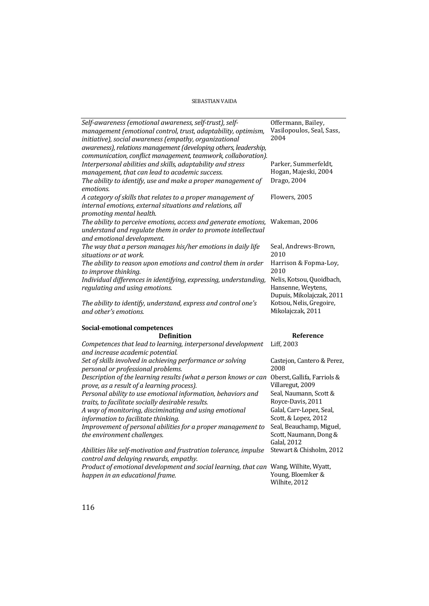| Self-awareness (emotional awareness, self-trust), self-<br>management (emotional control, trust, adaptability, optimism,<br>initiative), social awareness (empathy, organizational<br>awareness), relations management (developing others, leadership,<br>communication, conflict management, teamwork, collaboration). | Offermann, Bailey,<br>Vasilopoulos, Seal, Sass,<br>2004                      |
|-------------------------------------------------------------------------------------------------------------------------------------------------------------------------------------------------------------------------------------------------------------------------------------------------------------------------|------------------------------------------------------------------------------|
| Interpersonal abilities and skills, adaptability and stress<br>management, that can lead to academic success.<br>The ability to identify, use and make a proper management of                                                                                                                                           | Parker, Summerfeldt,<br>Hogan, Majeski, 2004<br>Drago, 2004                  |
| emotions.                                                                                                                                                                                                                                                                                                               |                                                                              |
| A category of skills that relates to a proper management of<br>internal emotions, external situations and relations, all<br>promoting mental health.                                                                                                                                                                    | Flowers, 2005                                                                |
| The ability to perceive emotions, access and generate emotions,<br>understand and regulate them in order to promote intellectual<br>and emotional development.                                                                                                                                                          | Wakeman, 2006                                                                |
| The way that a person manages his/her emotions in daily life<br>situations or at work.                                                                                                                                                                                                                                  | Seal, Andrews-Brown,<br>2010                                                 |
| The ability to reason upon emotions and control them in order<br>to improve thinking.                                                                                                                                                                                                                                   | Harrison & Fopma-Loy,<br>2010                                                |
| Individual differences in identifying, expressing, understanding,<br>regulating and using emotions.                                                                                                                                                                                                                     | Nelis, Kotsou, Quoidbach,<br>Hansenne, Weytens,<br>Dupuis, Mikolajczak, 2011 |
| The ability to identify, understand, express and control one's<br>and other's emotions.                                                                                                                                                                                                                                 | Kotsou, Nelis, Gregoire,<br>Mikolajczak, 2011                                |
| <b>Social-emotional competences</b>                                                                                                                                                                                                                                                                                     |                                                                              |
| Definition                                                                                                                                                                                                                                                                                                              | Reference                                                                    |
| Competences that lead to learning, interpersonal development<br>and increase academic potential.                                                                                                                                                                                                                        | Liff, 2003                                                                   |
| Set of skills involved in achieving performance or solving<br>personal or professional problems.                                                                                                                                                                                                                        | Castejon, Cantero & Perez,<br>2008                                           |
| Description of the learning results (what a person knows or can<br>prove, as a result of a learning process).                                                                                                                                                                                                           | Oberst, Gallifa, Farriols &<br>Villaregut, 2009                              |
| Personal ability to use emotional information, behaviors and<br>traits, to facilitate socially desirable results.                                                                                                                                                                                                       | Seal, Naumann, Scott &<br>Royce-Davis, 2011                                  |
| A way of monitoring, disciminating and using emotional<br>information to facilitate thinking.                                                                                                                                                                                                                           | Galal, Carr-Lopez, Seal,<br>Scott, & Lopez, 2012                             |
| Improvement of personal abilities for a proper management to<br>the environment challenges.                                                                                                                                                                                                                             | Seal, Beauchamp, Miguel,<br>Scott, Naumann, Dong &<br><b>Galal</b> , 2012    |
| Abilities like self-motivation and frustration tolerance, impulse<br>control and delaying rewards, empathy.                                                                                                                                                                                                             | Stewart & Chisholm, 2012                                                     |
| Product of emotional development and social learning, that can Wang, Wilhite, Wyatt,<br>happen in an educational frame.                                                                                                                                                                                                 | Young, Bloemker &<br>Wilhite, 2012                                           |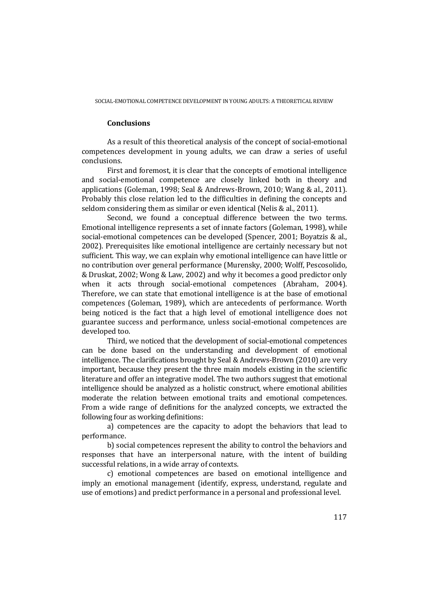## **Conclusions**

As a result of this theoretical analysis of the concept of social-emotional competences development in young adults, we can draw a series of useful conclusions.

First and foremost, it is clear that the concepts of emotional intelligence and social-emotional competence are closely linked both in theory and applications (Goleman, 1998; Seal & Andrews-Brown, 2010; Wang & al., 2011). Probably this close relation led to the difficulties in defining the concepts and seldom considering them as similar or even identical (Nelis & al., 2011).

Second, we found a conceptual difference between the two terms. Emotional intelligence represents a set of innate factors (Goleman, 1998), while social-emotional competences can be developed (Spencer, 2001; Boyatzis & al., 2002). Prerequisites like emotional intelligence are certainly necessary but not sufficient. This way, we can explain why emotional intelligence can have little or no contribution over general performance (Murensky, 2000; Wolff, Pescosolido, & Druskat, 2002; Wong & Law, 2002) and why it becomes a good predictor only when it acts through social-emotional competences (Abraham, 2004). Therefore, we can state that emotional intelligence is at the base of emotional competences (Goleman, 1989), which are antecedents of performance. Worth being noticed is the fact that a high level of emotional intelligence does not guarantee success and performance, unless social-emotional competences are developed too.

Third, we noticed that the development of social-emotional competences can be done based on the understanding and development of emotional intelligence. The clarifications brought by Seal & Andrews-Brown (2010) are very important, because they present the three main models existing in the scientific literature and offer an integrative model. The two authors suggest that emotional intelligence should be analyzed as a holistic construct, where emotional abilities moderate the relation between emotional traits and emotional competences. From a wide range of definitions for the analyzed concepts, we extracted the following four as working definitions:

a) competences are the capacity to adopt the behaviors that lead to performance.

b) social competences represent the ability to control the behaviors and responses that have an interpersonal nature, with the intent of building successful relations, in a wide array of contexts.

c) emotional competences are based on emotional intelligence and imply an emotional management (identify, express, understand, regulate and use of emotions) and predict performance in a personal and professional level.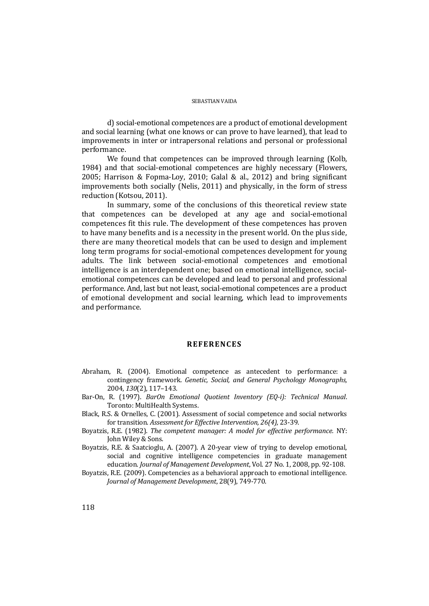d) social-emotional competences are a product of emotional development and social learning (what one knows or can prove to have learned), that lead to improvements in inter or intrapersonal relations and personal or professional performance.

We found that competences can be improved through learning (Kolb, 1984) and that social-emotional competences are highly necessary (Flowers, 2005; Harrison & Fopma-Loy, 2010; Galal & al., 2012) and bring significant improvements both socially (Nelis, 2011) and physically, in the form of stress reduction (Kotsou, 2011).

In summary, some of the conclusions of this theoretical review state that competences can be developed at any age and social-emotional competences fit this rule. The development of these competences has proven to have many benefits and is a necessity in the present world. On the plus side, there are many theoretical models that can be used to design and implement long term programs for social-emotional competences development for young adults. The link between social-emotional competences and emotional intelligence is an interdependent one; based on emotional intelligence, socialemotional competences can be developed and lead to personal and professional performance. And, last but not least, social-emotional competences are a product of emotional development and social learning, which lead to improvements and performance.

## **REFERENCES**

- Abraham, R. (2004). Emotional competence as antecedent to performance: a contingency framework. *Genetic, Social, and General Psychology Monographs,*  2004, *130*(2), 117–143.
- Bar-On, R. (1997). *BarOn Emotional Quotient Inventory (EQ-i): Technical Manual*. Toronto: MultiHealth Systems.
- Black, R.S. & Ornelles, C. (2001). Assessment of social competence and social networks for transition. *Assessment for Effective Intervention, 26(4),* 23-39.
- Boyatzis, R.E. (1982). *The competent manager: A model for effective performance.* NY: John Wiley & Sons.
- Boyatzis, R.E. & Saatcioglu, A. (2007). A 20-year view of trying to develop emotional, social and cognitive intelligence competencies in graduate management education. *Journal of Management Development*, Vol. 27 No. 1, 2008, pp. 92-108.

Boyatzis, R.E. (2009). Competencies as a behavioral approach to emotional intelligence. *Journal of Management Development*, 28(9), 749-770.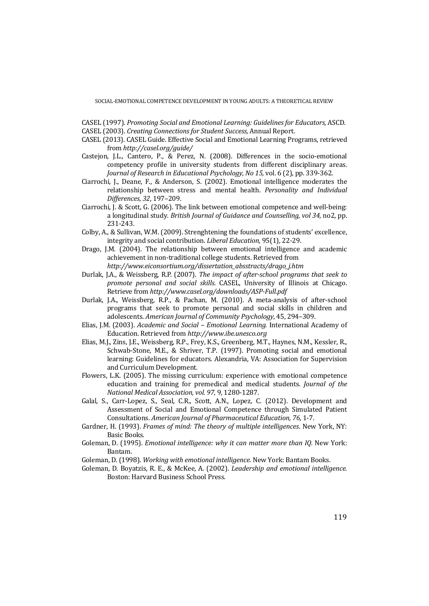- CASEL (1997). *Promoting Social and Emotional Learning: Guidelines for Educators,* ASCD*.*
- CASEL (2003). *Creating Connections for Student Success,* Annual Report.
- CASEL (2013). CASEL Guide. Effective Social and Emotional Learning Programs, retrieved from *http://casel.org/guide/*
- Castejon, J.L., Cantero, P., & Perez, N. (2008). Differences in the socio-emotional competency profile in university students from different disciplinary areas. *Journal of Research in Educational Psychology, No 15,* vol. 6 (2), pp. 339-362.
- Ciarrochi, J., Deane, F., & Anderson, S. (2002). Emotional intelligence moderates the relationship between stress and mental health. *Personality and Individual Differences, 32*, 197–209.
- Ciarrochi, J. & Scott, G. (2006). The link between emotional competence and well-being: a longitudinal study. *British Journal of Guidance and Counselling, vol 34,* no2, pp. 231-243.
- Colby, A., & Sullivan, W.M. (2009). Strenghtening the foundations of students' excellence, integrity and social contribution. *Liberal Education,* 95(1), 22-29.
- Drago, J.M. (2004). The relationship between emotional intelligence and academic achievement in non-traditional college students. Retrieved from *http://www.eiconsortium.org/dissertation\_absstracts/drago\_j.htm*
- Durlak, J.A., & Weissberg, R.P. (2007). *The impact of after-school programs that seek to promote personal and social skills.* CASEL, University of Illinois at Chicago. Retrieve from *http://www.casel.org/downloads/ASP-Full.pdf*
- Durlak, J.A., Weissberg, R.P., & Pachan, M. (2010). A meta-analysis of after-school programs that seek to promote personal and social skills in children and adolescents. *American Journal of Community Psychology*, 45, 294–309.
- Elias, J.M. (2003). *Academic and Social Emotional Learning.* International Academy of Education. Retrieved from *http://www.ibe.unesco.org*
- Elias, M.J., Zins, J.E., Weissberg, R.P., Frey, K.S., Greenberg, M.T., Haynes, N.M., Kessler, R., Schwab-Stone, M.E., & Shriver, T.P. (1997). Promoting social and emotional learning: Guidelines for educators. Alexandria, VA: Association for Supervision and Curriculum Development.
- Flowers, L.K. (2005). The missing curriculum: experience with emotional competence education and training for premedical and medical students. *Journal of the National Medical Association, vol. 97,* 9, 1280-1287.
- Galal, S., Carr-Lopez, S., Seal, C.R., Scott, A.N., Lopez, C. (2012). Development and Assessment of Social and Emotional Competence through Simulated Patient Consultations. *American Journal of Pharmaceutical Education, 76*, 1-7.
- Gardner, H. (1993). *Frames of mind: The theory of multiple intelligences*. New York, NY: Basic Books.
- Goleman, D. (1995). *Emotional intelligence: why it can matter more than IQ.* New York: Bantam.
- Goleman, D. (1998). *Working with emotional intelligence*. New York: Bantam Books.
- Goleman, D. Boyatzis, R. E., & McKee, A. (2002). *Leadership and emotional intelligence*. Boston: Harvard Business School Press.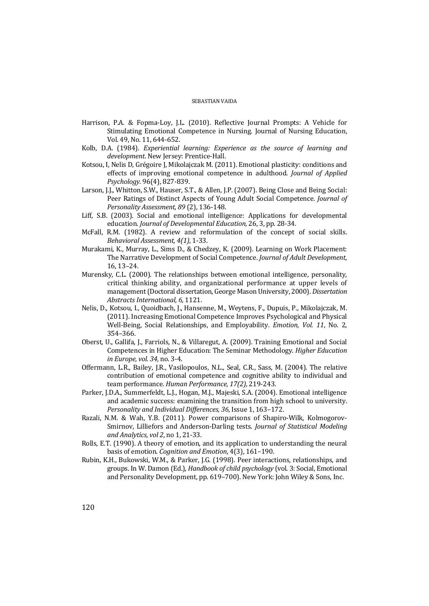- Harrison, P.A. & Fopma-Loy, J.L. (2010). Reflective Journal Prompts: A Vehicle for Stimulating Emotional Competence in Nursing. Journal of Nursing Education, Vol. 49, No. 11, 644-652.
- Kolb, D.A. (1984). *Experiential learning: Experience as the source of learning and development*. New Jersey: Prentice-Hall.
- Kotsou, I, Nelis D, Grégoire J, Mikolajczak M. (2011). Emotional plasticity: conditions and effects of improving emotional competence in adulthood. *Journal of Applied Psychology.* 96(4), 827-839.
- Larson, J.J., Whitton, S.W., Hauser, S.T., & Allen, J.P. (2007). Being Close and Being Social: Peer Ratings of Distinct Aspects of Young Adult Social Competence. *Journal of Personality Assessment, 89* (2), 136-148.
- Liff, S.B. (2003). Social and emotional intelligence: Applications for developmental education. *Journal of Developmental Education,* 26, 3, pp. 28-34.
- McFall, R.M. (1982). A review and reformulation of the concept of social skills. *Behavioral Assessment, 4(1)*, 1-33.
- Murakami, K., Murray, L., Sims D., & Chedzey, K. (2009). Learning on Work Placement: The Narrative Development of Social Competence. *Journal of Adult Development*, 16, 13–24.
- Murensky, C.L. (2000). The relationships between emotional intelligence, personality, critical thinking ability, and organizational performance at upper levels of management (Doctoral dissertation, George Mason University, 2000). *Dissertation Abstracts International, 6,* 1121.
- Nelis, D., Kotsou, I., Quoidbach, J., Hansenne, M., Weytens, F., Dupuis, P., Mikolajczak, M. (2011). Increasing Emotional Competence Improves Psychological and Physical Well-Being, Social Relationships, and Employability. *Emotion, Vol. 11*, No. 2, 354–366.
- Oberst, U., Gallifa, J., Farriols, N., & Villaregut, A. (2009). Training Emotional and Social Competences in Higher Education: The Seminar Methodology. *Higher Education in Europe, vol. 34,* no. 3-4.
- Offermann, L.R., Bailey, J.R., Vasilopoulos, N.L., Seal, C.R., Sass, M. (2004). The relative contribution of emotional competence and cognitive ability to individual and team performance. *Human Performance, 17(2),* 219-243.
- Parker, J.D.A., Summerfeldt, L.J., Hogan, M.J., Majeski, S.A. (2004). Emotional intelligence and academic success: examining the transition from high school to university. *Personality and Individual Differences, 36*, Issue 1, 163–172.
- Razali, N.M. & Wah, Y.B. (2011). Power comparisons of Shapiro-Wilk, Kolmogorov-Smirnov, Lilliefors and Anderson-Darling tests. *Journal of Statistical Modeling and Analytics, vol 2*, no 1, 21-33.
- Rolls, E.T. (1990). A theory of emotion, and its application to understanding the neural basis of emotion. *Cognition and Emotion*, 4(3), 161–190.
- Rubin, K.H., Bukowski, W.M., & Parker, J.G. (1998). Peer interactions, relationships, and groups. In W. Damon (Ed.), *Handbook of child psychology* (vol. 3: Social, Emotional and Personality Development, pp. 619–700). New York: John Wiley & Sons, Inc.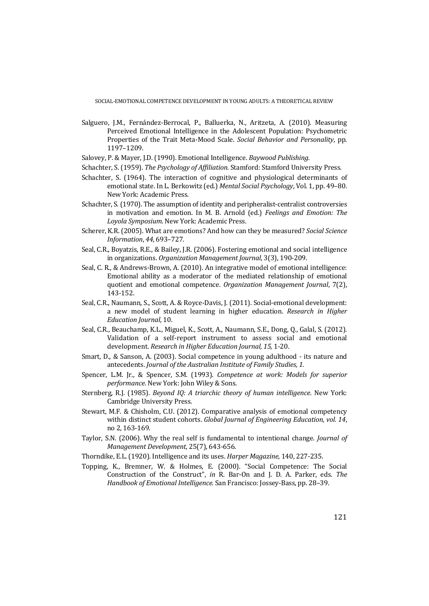- Salguero, J.M., Fernández-Berrocal, P., Balluerka, N., Aritzeta, A. (2010). Measuring Perceived Emotional Intelligence in the Adolescent Population: Psychometric Properties of the Trait Meta-Mood Scale. *Social Behavior and Personality*, pp. 1197–1209.
- Salovey, P. & Mayer, J.D. (1990). Emotional Intelligence. *Baywood Publishing*.
- Schachter, S. (1959). *The Psychology of Affiliation*. Stamford: Stamford University Press.
- Schachter, S. (1964). The interaction of cognitive and physiological determinants of emotional state. In L. Berkowitz (ed.) *Mental Social Psychology*, Vol. 1, pp. 49–80. New York: Academic Press.
- Schachter, S. (1970). The assumption of identity and peripheralist-centralist controversies in motivation and emotion. In M. B. Arnold (ed.) *Feelings and Emotion: The Loyola Symposium*. New York: Academic Press.
- Scherer, K.R. (2005). What are emotions? And how can they be measured? *Social Science Information*, *44*, 693–727.
- Seal, C.R., Boyatzis, R.E., & Bailey, J.R. (2006). Fostering emotional and social intelligence in organizations. *Organization Management Journal*, 3(3), 190-209.
- Seal, C. R., & Andrews-Brown, A. (2010). An integrative model of emotional intelligence: Emotional ability as a moderator of the mediated relationship of emotional quotient and emotional competence. *Organization Management Journal*, 7(2), 143-152.
- Seal, C.R., Naumann, S., Scott, A. & Royce-Davis, J. (2011). Social-emotional development: a new model of student learning in higher education. *Research in Higher Education Journal*, 10.
- Seal, C.R., Beauchamp, K.L., Miguel, K., Scott, A., Naumann, S.E., Dong, Q., Galal, S. (2012). Validation of a self-report instrument to assess social and emotional development. *Research in Higher Education Journal, 15,* 1-20.
- Smart, D., & Sanson, A. (2003). Social competence in young adulthood its nature and antecedents. *Journal of the Australian Institute of Family Studies, 1.*
- Spencer, L.M. Jr., & Spencer, S.M. (1993). *Competence at work: Models for superior performance*. New York: John Wiley & Sons.
- Sternberg, R.J. (1985). *Beyond IQ: A triarchic theory of human intelligence*. New York: Cambridge University Press.
- Stewart, M.F. & Chisholm, C.U. (2012). Comparative analysis of emotional competency within distinct student cohorts. *Global Journal of Engineering Education, vol. 14*, no 2, 163-169.
- Taylor, S.N. (2006). Why the real self is fundamental to intentional change. *Journal of Management Development,* 25(7), 643-656.
- Thorndike, E.L. (1920). Intelligence and its uses. *Harper Magazine*, 140, 227-235.
- Topping, K., Bremner, W. & Holmes, E. (2000). "Social Competence: The Social Construction of the Construct", *in* R. Bar-On and J. D. A. Parker, eds. *The Handbook of Emotional Intelligence.* San Francisco: Jossey-Bass, pp. 28–39.